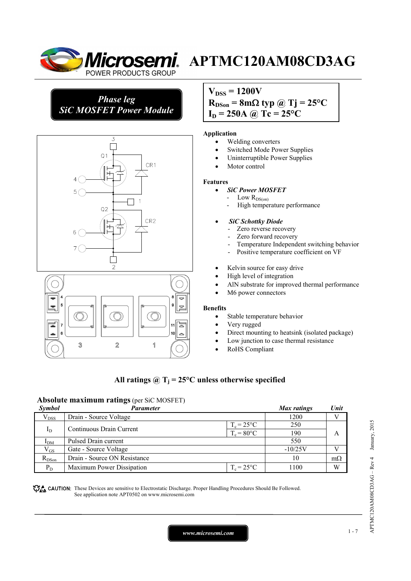

*Phase leg SiC MOSFET Power Module*





# **APTMC120AM08CD3AG**

 $V_{DSS} = 1200V$  $R_{DSon} = 8m\Omega$  typ @ Tj = 25°C  $I_D = 250A \omega Tc = 25^{\circ}C$ 

#### **Application**

- Welding converters
- Switched Mode Power Supplies
- Uninterruptible Power Supplies
- Motor control

#### **Features**

#### • *SiC Power MOSFET*

- Low  $R_{DS(on)}$
- High temperature performance

#### • *SiC Schottky Diode*

- Zero reverse recovery
- Zero forward recovery
- Temperature Independent switching behavior
- Positive temperature coefficient on VF
- Kelvin source for easy drive
- High level of integration
- AlN substrate for improved thermal performance
- M6 power connectors

#### **Benefits**

- Stable temperature behavior
- Very rugged
- Direct mounting to heatsink (isolated package)
- Low junction to case thermal resistance
- RoHS Compliant

## All ratings  $\omega_{\text{I}} = 25^{\circ}\text{C}$  unless otherwise specified

## **Absolute maximum ratings** (per SiC MOSFET)

| Symbol          | Parameter                    |                     | Max ratings | Unit      |
|-----------------|------------------------------|---------------------|-------------|-----------|
| $V_{DSS}$       | Drain - Source Voltage       |                     | 1200        |           |
|                 | Continuous Drain Current     | $T_c = 25^{\circ}C$ | 250         |           |
| $I_D$           |                              | $T_c = 80$ °C       | 190         | A         |
| I <sub>DM</sub> | Pulsed Drain current         |                     | 550         |           |
| $V_{GS}$        | Gate - Source Voltage        |                     | $-10/25V$   |           |
| $R_{DSon}$      | Drain - Source ON Resistance |                     | 10          | $m\Omega$ |
| $P_D$           | Maximum Power Dissipation    | $T_c = 25^{\circ}C$ | 1100        | W         |

CAUTION: These Devices are sensitive to Electrostatic Discharge. Proper Handling Procedures Should Be Followed. See application note APT0502 on www.microsemi.com

APTMC120AM08CD3AG - Rev 4 January, 2015 APTMC120AM08CD3AG – Rev 4 January, 2015

*www.microsemi.com* 1-7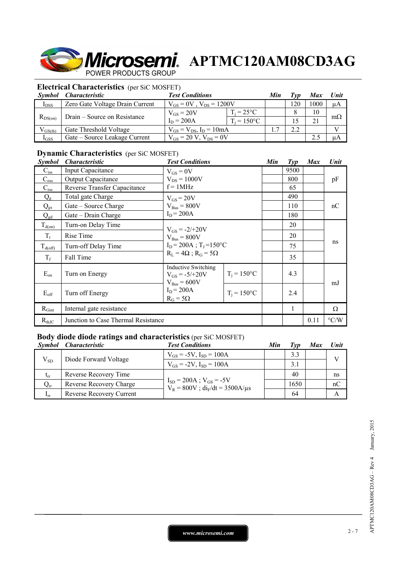**Microsemi**. APTMC120AM08CD3AG POWER PRODUCTS GROUP

#### **Electrical Characteristics** (per SiC MOSFET)

| Symbol       | <i><b>Characteristic</b></i>    | <b>Test Conditions</b>           | Min                  | Tvn | <b>Max</b> | Unit |           |
|--------------|---------------------------------|----------------------------------|----------------------|-----|------------|------|-----------|
| $I_{DSS}$    | Zero Gate Voltage Drain Current | $V_{GS} = 0V$ , $V_{DS} = 1200V$ |                      | 20  | 1000       | μA   |           |
| $R_{DS(on)}$ | Drain – Source on Resistance    | $V_{GS} = 20V$                   | $T_i = 25^{\circ}C$  |     |            | 10   |           |
|              |                                 | $I_D = 200A$                     | $T_i = 150^{\circ}C$ |     |            |      | $m\Omega$ |
| $V_{GS(th)}$ | Gate Threshold Voltage          | $V_{GS} = V_{DS}$ , $I_D = 10mA$ |                      | I.  | 2.2        |      |           |
| $I_{GSS}$    | Gate – Source Leakage Current   | $V_{GS} = 20 V$ , $V_{DS} = 0V$  |                      |     |            |      | uА        |

## **Dynamic Characteristics** (per SiC MOSFET)

| <i>Symbol</i> | <i><b>Characteristic</b></i>        | <b>Test Conditions</b>                                                      |                | Min | $\mathcal{I}yp$ | <b>Max</b> | Unit               |
|---------------|-------------------------------------|-----------------------------------------------------------------------------|----------------|-----|-----------------|------------|--------------------|
| $C_{\rm iss}$ | Input Capacitance                   | $V_{GS} = 0V$<br>$V_{DS} = 1000V$                                           |                |     | 9500            |            |                    |
| $C_{\rm oss}$ | <b>Output Capacitance</b>           |                                                                             |                |     | 800             |            | pF                 |
| $C_{\rm rss}$ | Reverse Transfer Capacitance        | $f = 1MHz$                                                                  |                |     | 65              |            |                    |
| $Q_{\rm g}$   | Total gate Charge                   | $V_{GS}$ = 20V                                                              |                |     | 490             |            | nC                 |
| $Q_{gs}$      | Gate – Source Charge                | $V_{\text{Bus}} = 800V$                                                     |                |     | 110             |            |                    |
| $Q_{gd}$      | Gate – Drain Charge                 | $I_D = 200A$                                                                |                |     | 180             |            |                    |
| $T_{d(on)}$   | Turn-on Delay Time                  | $V_{GS} = -2/+20V$<br>$V_{\text{Bus}} = 800V$                               |                |     | 20              |            |                    |
| $T_r$         | Rise Time                           |                                                                             |                |     | 20              |            |                    |
| $T_{d(off)}$  | Turn-off Delay Time                 | $I_D = 200A$ ; T <sub>I</sub> =150°C                                        |                |     | 75              |            | ns                 |
| $T_f$         | Fall Time                           | $R_L = 4\Omega$ ; $R_G = 5\Omega$                                           |                |     | 35              |            |                    |
| $E_{on}$      | Turn on Energy                      | <b>Inductive Switching</b><br>$V_{GS} = -5/+20V$<br>$V_{\text{Bus}} = 600V$ | $T_i = 150$ °C |     | 4.3             |            | mJ                 |
| $E_{\rm off}$ | Turn off Energy                     | $I_D = 200A$<br>$R_G = 5\Omega$                                             | $T_i = 150$ °C |     | 2.4             |            |                    |
| $R_{Gint}$    | Internal gate resistance            |                                                                             |                |     | 1               |            | Ω                  |
| $R_{thJC}$    | Junction to Case Thermal Resistance |                                                                             |                |     |                 | 0.11       | $\rm ^{\circ} C/W$ |

## **Body diode diode ratings and characteristics** (per SiC MOSFET)

|                 | Symbol Characteristic           | <b>Test Conditions</b>                                                     | Min | Typ  | <b>Max</b> | <b>Unit</b> |
|-----------------|---------------------------------|----------------------------------------------------------------------------|-----|------|------------|-------------|
| $V_{SD}$        | Diode Forward Voltage           | $V_{GS} = -5V$ , $I_{SD} = 100A$                                           |     | 3.3  |            | $\bf{V}$    |
|                 |                                 | $V_{GS} = -2V$ , $I_{SD} = 100A$                                           |     | 3.1  |            |             |
| $t_{rr}$        | Reverse Recovery Time           |                                                                            |     | 40   |            | ns          |
| $\rm Q_{rr}$    | <b>Reverse Recovery Charge</b>  | $I_{SD} = 200A$ ; $V_{GS} = -5V$<br>$V_R = 800V$ ; $di_F/dt = 3500A/\mu s$ |     | 1650 |            | nC          |
| 1 <sub>rr</sub> | <b>Reverse Recovery Current</b> |                                                                            |     | 64   |            |             |

*www.microsemi.com* 2-7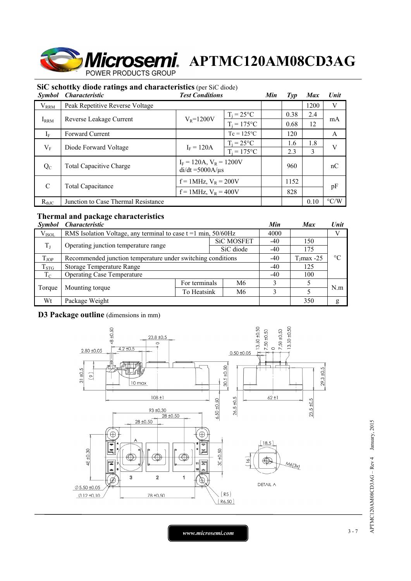

## **SiC schottky diode ratings and characteristics** (per SiC diode)

| <i>Symbol</i> | <b>Characteristic</b>               | <b>Test Conditions</b>                                | Min                 | Type | <b>Max</b> | Unit |                    |
|---------------|-------------------------------------|-------------------------------------------------------|---------------------|------|------------|------|--------------------|
| $V_{RRM}$     | Peak Repetitive Reverse Voltage     |                                                       |                     |      |            | 1200 | V                  |
|               |                                     | $V_R = 1200V$                                         | $T_i = 25^{\circ}C$ |      | 0.38       | 2.4  | mA                 |
| $I_{RRM}$     | Reverse Leakage Current             |                                                       | $T_i = 175$ °C      |      | 0.68       | 12   |                    |
| $I_F$         | <b>Forward Current</b>              | $Tc = 125$ °C                                         |                     |      | 120        |      | A                  |
| $V_{F}$       | Diode Forward Voltage               | $I_F = 120A$                                          | $T_i = 25^{\circ}C$ |      | 1.8<br>1.6 |      | V                  |
|               |                                     |                                                       | $T_i = 175$ °C      |      | 2.3        | 3    |                    |
| $Q_{C}$       | <b>Total Capacitive Charge</b>      | $I_F = 120A$ , $V_R = 1200V$<br>$di/dt = 5000A/\mu s$ |                     | 960  |            | nC   |                    |
| $\mathcal{C}$ | Total Capacitance                   | $f = 1$ MHz, $V_R = 200V$                             |                     |      | 1152       |      | pF                 |
|               |                                     | $f = 1$ MHz, $V_R = 400V$                             |                     |      | 828        |      |                    |
| $R_{thJC}$    | Junction to Case Thermal Resistance |                                                       |                     |      |            | 0.10 | $\rm ^{\circ} C/W$ |

## **Thermal and package characteristics**

| <i>Symbol</i> | <i><b>Characteristic</b></i>                                     |               |  |                   |       | <b>Max</b>    | Unit      |  |
|---------------|------------------------------------------------------------------|---------------|--|-------------------|-------|---------------|-----------|--|
| $V_{ISOL}$    | RMS Isolation Voltage, any terminal to case $t = 1$ min, 50/60Hz |               |  |                   |       |               |           |  |
| $T_{J}$       | Operating junction temperature range                             |               |  | <b>SiC MOSFET</b> | $-40$ | 150           |           |  |
|               |                                                                  |               |  | SiC diode         | $-40$ | 175           |           |  |
| $T_{JOP}$     | Recommended junction temperature under switching conditions      |               |  |                   |       | $T_J$ max -25 | $\circ$ C |  |
| $T_{STG}$     | <b>Storage Temperature Range</b>                                 |               |  |                   |       | 125           |           |  |
| $T_{\rm C}$   | <b>Operating Case Temperature</b>                                |               |  |                   |       | 100           |           |  |
| Torque        |                                                                  | For terminals |  | M6                | 3     |               | N.m       |  |
|               | Mounting torque<br>To Heatsink                                   |               |  | M6                | 3     |               |           |  |
| Wt            | Package Weight                                                   |               |  |                   |       | 350           | g         |  |

## **D3 Package outline** (dimensions in mm)



APTMC120AM08CD3AG - Rev 4 January, 2015 APTMC120AM08CD3AG – Rev 4 January, 2015

*www.microsemi.com* 3-7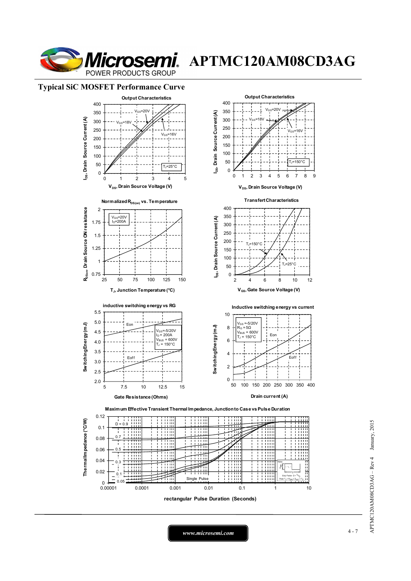

**Microsemi.** APTMC120AM08CD3AG

#### **Typical SiC MOSFET Performance Curve**



APTMC120AM08CD3AG - Rev 4 January, 2015 APTMC120AM08CD3AG – Rev 4 January, 2015

*www.microsemi.com* 4-7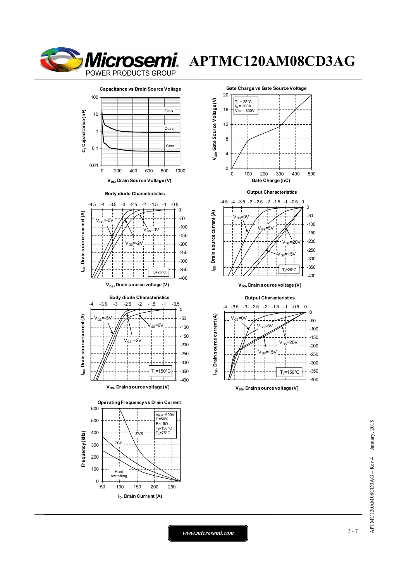

## **Microsemi**. APTMC120AM08CD3AG

**Capacitance vs Drain Source Voltage** 100 .<br>Ciss C, Capacitance (nF) **C, Capacitance (nF)** 10 Coss 1 Crss 0.1 0.01 0 200 400 600 800 1000  $V_{DS}$ , Drain Source Voltage (V)

















 $V_{DS}$ , Drain source voltage (V)

#### **Output Characteristics**





*www.microsemi.com* 5-7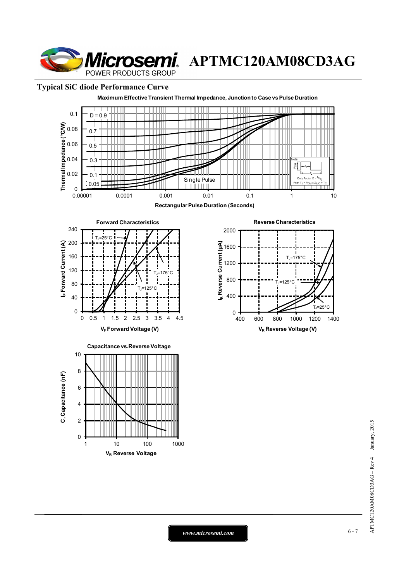**Microsemi**. APTMC120AM08CD3AG POWER PRODUCTS GROUP

## **Typical SiC diode Performance Curve**



*www.microsemi.com* 6-7